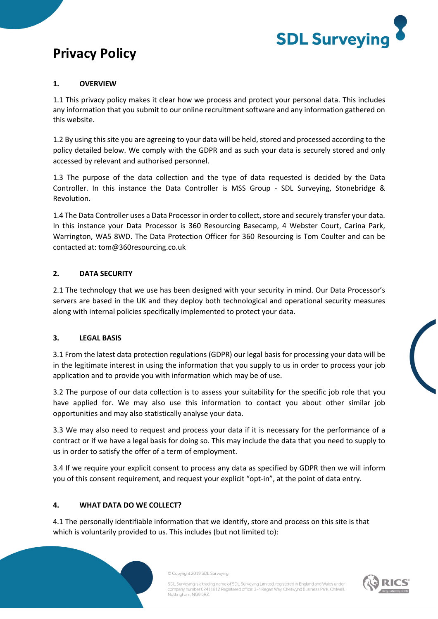

# **Privacy Policy**

### **1. OVERVIEW**

1.1 This privacy policy makes it clear how we process and protect your personal data. This includes any information that you submit to our online recruitment software and any information gathered on this website.

1.2 By using this site you are agreeing to your data will be held, stored and processed according to the policy detailed below. We comply with the GDPR and as such your data is securely stored and only accessed by relevant and authorised personnel.

1.3 The purpose of the data collection and the type of data requested is decided by the Data Controller. In this instance the Data Controller is MSS Group - SDL Surveying, Stonebridge & Revolution.

1.4 The Data Controller uses a Data Processor in order to collect, store and securely transfer your data. In this instance your Data Processor is 360 Resourcing Basecamp, 4 Webster Court, Carina Park, Warrington, WA5 8WD. The Data Protection Officer for 360 Resourcing is Tom Coulter and can be contacted at: tom@360resourcing.co.uk

#### **2. DATA SECURITY**

2.1 The technology that we use has been designed with your security in mind. Our Data Processor's servers are based in the UK and they deploy both technological and operational security measures along with internal policies specifically implemented to protect your data.

#### **3. LEGAL BASIS**

3.1 From the latest data protection regulations (GDPR) our legal basis for processing your data will be in the legitimate interest in using the information that you supply to us in order to process your job application and to provide you with information which may be of use.

3.2 The purpose of our data collection is to assess your suitability for the specific job role that you have applied for. We may also use this information to contact you about other similar job opportunities and may also statistically analyse your data.

3.3 We may also need to request and process your data if it is necessary for the performance of a contract or if we have a legal basis for doing so. This may include the data that you need to supply to us in order to satisfy the offer of a term of employment.

3.4 If we require your explicit consent to process any data as specified by GDPR then we will inform you of this consent requirement, and request your explicit "opt-in", at the point of data entry.

### **4. WHAT DATA DO WE COLLECT?**

4.1 The personally identifiable information that we identify, store and process on this site is that which is voluntarily provided to us. This includes (but not limited to):





SDL Surveying is a trading name of SDL Surveying Limited, registered in England and Wales under company number 02411812 Registered office: 3-4 Regan Way, Chetwynd Business Park, Chilwell, Nottingham, NG9 6RZ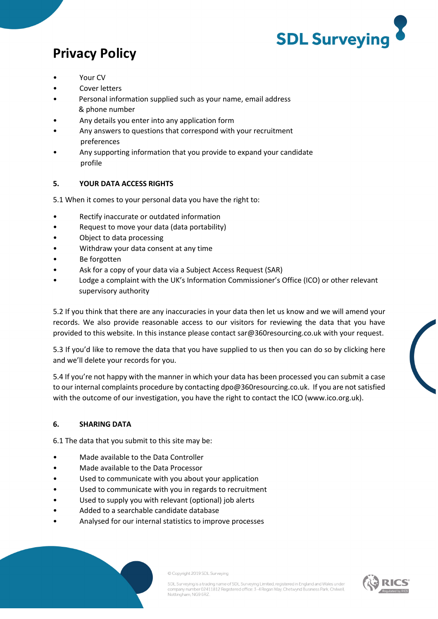

# **Privacy Policy**

- Your CV
- Cover letters
- Personal information supplied such as your name, email address & phone number
- Any details you enter into any application form
- Any answers to questions that correspond with your recruitment preferences
- Any supporting information that you provide to expand your candidate profile

### **5. YOUR DATA ACCESS RIGHTS**

5.1 When it comes to your personal data you have the right to:

- Rectify inaccurate or outdated information
- Request to move your data (data portability)
- Object to data processing
- Withdraw your data consent at any time
- Be forgotten
- Ask for a copy of your data via a Subject Access Request (SAR)
- Lodge a complaint with the UK's Information Commissioner's Office (ICO) or other relevant supervisory authority

5.2 If you think that there are any inaccuracies in your data then let us know and we will amend your records. We also provide reasonable access to our visitors for reviewing the data that you have provided to this website. In this instance please contact sar@360resourcing.co.uk with your request.

5.3 If you'd like to remove the data that you have supplied to us then you can do so by clicking here and we'll delete your records for you.

5.4 If you're not happy with the manner in which your data has been processed you can submit a case to our internal complaints procedure by contacting dpo@360resourcing.co.uk. If you are not satisfied with the outcome of our investigation, you have the right to contact the ICO (www.ico.org.uk).

### **6. SHARING DATA**

6.1 The data that you submit to this site may be:

- Made available to the Data Controller
- Made available to the Data Processor
- Used to communicate with you about your application
- Used to communicate with you in regards to recruitment
- Used to supply you with relevant (optional) job alerts
- Added to a searchable candidate database
- Analysed for our internal statistics to improve processes



SDL Surveying is a trading name of SDL Surveying Limited, registered in England and Wales under company number 02411812 Registered office: 3-4 Regan Way, Chetwynd Business Park, Chilwell, Nottingham, NG9 6RZ